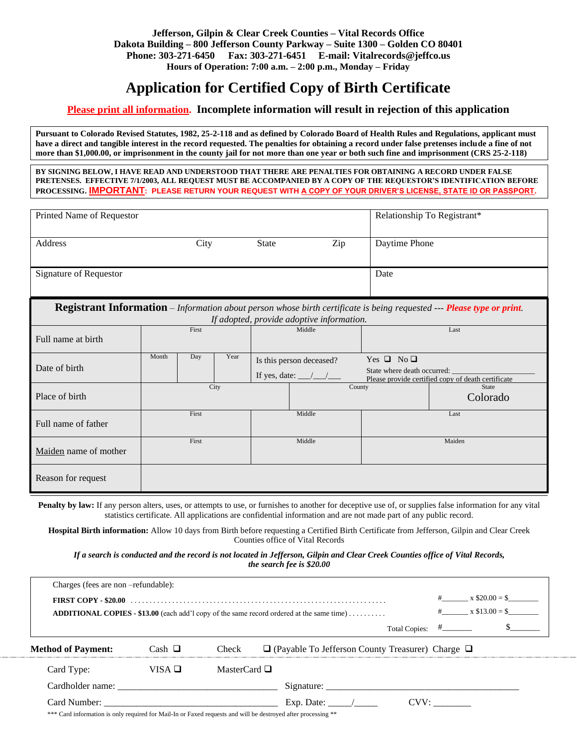#### **Jefferson, Gilpin & Clear Creek Counties – Vital Records Office Dakota Building – 800 Jefferson County Parkway – Suite 1300 – Golden CO 80401 Phone: 303-271-6450 Fax: 303-271-6451 E-mail: Vitalrecords@jeffco.us Hours of Operation: 7:00 a.m. – 2:00 p.m., Monday – Friday**

# **Application for Certified Copy of Birth Certificate**

## **Please print all information. Incomplete information will result in rejection of this application**

**Pursuant to Colorado Revised Statutes, 1982, 25-2-118 and as defined by Colorado Board of Health Rules and Regulations, applicant must have a direct and tangible interest in the record requested. The penalties for obtaining a record under false pretenses include a fine of not more than \$1,000.00, or imprisonment in the county jail for not more than one year or both such fine and imprisonment (CRS 25-2-118)**

**BY SIGNING BELOW, I HAVE READ AND UNDERSTOOD THAT THERE ARE PENALTIES FOR OBTAINING A RECORD UNDER FALSE PRETENSES. EFFECTIVE 7/1/2003, ALL REQUEST MUST BE ACCOMPANIED BY A COPY OF THE REQUESTOR'S IDENTIFICATION BEFORE PROCESSING. IMPORTANT: PLEASE RETURN YOUR REQUEST WITH A COPY OF YOUR DRIVER'S LICENSE, STATE ID OR PASSPORT.**

| Printed Name of Requestor                                                                                                                                           |       |     |      |        |                                                               |        | Relationship To Registrant*                         |                                                    |
|---------------------------------------------------------------------------------------------------------------------------------------------------------------------|-------|-----|------|--------|---------------------------------------------------------------|--------|-----------------------------------------------------|----------------------------------------------------|
| Address                                                                                                                                                             | City  |     |      | State  | Zip<br>Daytime Phone                                          |        |                                                     |                                                    |
| Signature of Requestor                                                                                                                                              |       |     |      |        |                                                               |        | Date                                                |                                                    |
| Registrant Information - Information about person whose birth certificate is being requested --- Please type or print.<br>If adopted, provide adoptive information. |       |     |      |        |                                                               |        |                                                     |                                                    |
| Full name at birth                                                                                                                                                  | First |     |      | Middle |                                                               | Last   |                                                     |                                                    |
| Date of birth                                                                                                                                                       | Month | Day | Year |        | Is this person deceased?<br>If yes, date: $\_\_\_\_\_\_\_\_\$ |        | Yes $\Box$ No $\Box$<br>State where death occurred: | Please provide certified copy of death certificate |
| Place of birth                                                                                                                                                      | City  |     |      | County |                                                               |        | State<br>Colorado                                   |                                                    |
| Full name of father                                                                                                                                                 | First |     |      |        | Middle                                                        |        | Last                                                |                                                    |
| Maiden name of mother                                                                                                                                               | First |     |      | Middle |                                                               | Maiden |                                                     |                                                    |
| Reason for request                                                                                                                                                  |       |     |      |        |                                                               |        |                                                     |                                                    |

**Penalty by law:** If any person alters, uses, or attempts to use, or furnishes to another for deceptive use of, or supplies false information for any vital statistics certificate. All applications are confidential information and are not made part of any public record.

**Hospital Birth information:** Allow 10 days from Birth before requesting a Certified Birth Certificate from Jefferson, Gilpin and Clear Creek Counties office of Vital Records

#### *If a search is conducted and the record is not located in Jefferson, Gilpin and Clear Creek Counties office of Vital Records, the search fee is \$20.00*

| Charges (fees are non -refundable): |                                      |                                                                                                                                                   |
|-------------------------------------|--------------------------------------|---------------------------------------------------------------------------------------------------------------------------------------------------|
|                                     | $x \$20.00 =$ \$<br># $x $13.00 = $$ |                                                                                                                                                   |
|                                     |                                      | <b>ADDITIONAL COPIES - \$13.00</b> (each add'l copy of the same record ordered at the same time)<br>Total Copies: $\#$ <sub>_________</sub>       |
| <b>Method of Payment:</b>           | Cash $\Box$                          | Check<br>$\Box$ (Payable To Jefferson County Treasurer) Charge $\Box$                                                                             |
| Card Type:                          | VISA $\Box$                          | MasterCard $\Box$                                                                                                                                 |
|                                     |                                      |                                                                                                                                                   |
|                                     |                                      | Exp. Date: $\frac{\ }{}$<br>CVV:<br>*** Card information is only required for Mail-In or Faxed requests and will be destroyed after processing ** |